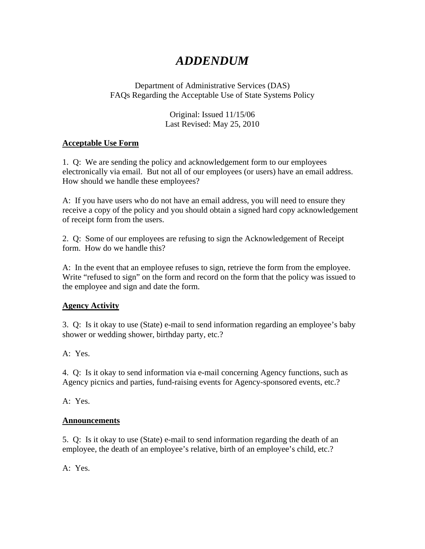# *ADDENDUM*

#### Department of Administrative Services (DAS) FAQs Regarding the Acceptable Use of State Systems Policy

Original: Issued 11/15/06 Last Revised: May 25, 2010

#### **Acceptable Use Form**

1. Q: We are sending the policy and acknowledgement form to our employees electronically via email. But not all of our employees (or users) have an email address. How should we handle these employees?

A: If you have users who do not have an email address, you will need to ensure they receive a copy of the policy and you should obtain a signed hard copy acknowledgement of receipt form from the users.

2. Q: Some of our employees are refusing to sign the Acknowledgement of Receipt form. How do we handle this?

A: In the event that an employee refuses to sign, retrieve the form from the employee. Write "refused to sign" on the form and record on the form that the policy was issued to the employee and sign and date the form.

#### **Agency Activity**

3. Q: Is it okay to use (State) e-mail to send information regarding an employee's baby shower or wedding shower, birthday party, etc.?

A: Yes.

4. Q: Is it okay to send information via e-mail concerning Agency functions, such as Agency picnics and parties, fund-raising events for Agency-sponsored events, etc.?

A: Yes.

#### **Announcements**

5. Q: Is it okay to use (State) e-mail to send information regarding the death of an employee, the death of an employee's relative, birth of an employee's child, etc.?

A: Yes.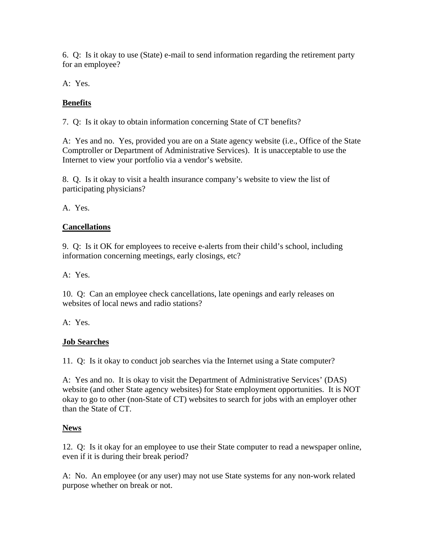6. Q: Is it okay to use (State) e-mail to send information regarding the retirement party for an employee?

A: Yes.

# **Benefits**

7. Q: Is it okay to obtain information concerning State of CT benefits?

A: Yes and no. Yes, provided you are on a State agency website (i.e., Office of the State Comptroller or Department of Administrative Services). It is unacceptable to use the Internet to view your portfolio via a vendor's website.

8. Q. Is it okay to visit a health insurance company's website to view the list of participating physicians?

A. Yes.

## **Cancellations**

9. Q: Is it OK for employees to receive e-alerts from their child's school, including information concerning meetings, early closings, etc?

A: Yes.

10. Q: Can an employee check cancellations, late openings and early releases on websites of local news and radio stations?

A: Yes.

# **Job Searches**

11. Q: Is it okay to conduct job searches via the Internet using a State computer?

A: Yes and no. It is okay to visit the Department of Administrative Services' (DAS) website (and other State agency websites) for State employment opportunities. It is NOT okay to go to other (non-State of CT) websites to search for jobs with an employer other than the State of CT.

#### **News**

12. Q: Is it okay for an employee to use their State computer to read a newspaper online, even if it is during their break period?

A: No. An employee (or any user) may not use State systems for any non-work related purpose whether on break or not.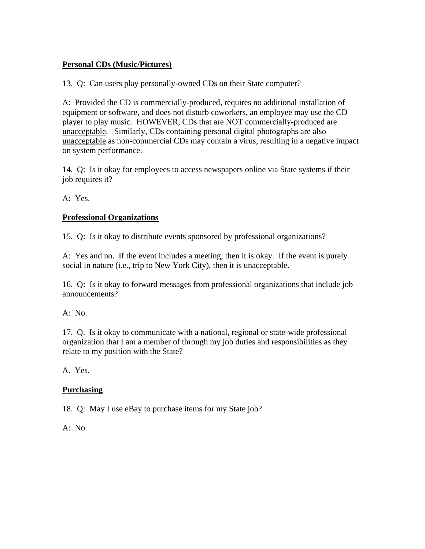#### **Personal CDs (Music/Pictures)**

13. Q: Can users play personally-owned CDs on their State computer?

A: Provided the CD is commercially-produced, requires no additional installation of equipment or software, and does not disturb coworkers, an employee may use the CD player to play music. HOWEVER, CDs that are NOT commercially-produced are unacceptable. Similarly, CDs containing personal digital photographs are also unacceptable as non-commercial CDs may contain a virus, resulting in a negative impact on system performance.

14. Q: Is it okay for employees to access newspapers online via State systems if their job requires it?

A: Yes.

## **Professional Organizations**

15. Q: Is it okay to distribute events sponsored by professional organizations?

A: Yes and no. If the event includes a meeting, then it is okay. If the event is purely social in nature (i.e., trip to New York City), then it is unacceptable.

16. Q: Is it okay to forward messages from professional organizations that include job announcements?

A: No.

17. Q. Is it okay to communicate with a national, regional or state-wide professional organization that I am a member of through my job duties and responsibilities as they relate to my position with the State?

A. Yes.

# **Purchasing**

18. Q: May I use eBay to purchase items for my State job?

A: No.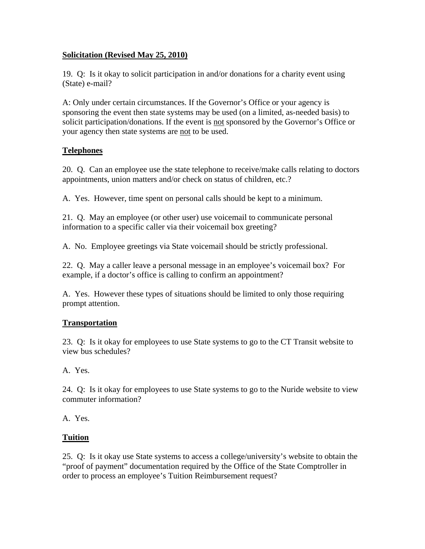#### **Solicitation (Revised May 25, 2010)**

19. Q: Is it okay to solicit participation in and/or donations for a charity event using (State) e-mail?

A: Only under certain circumstances. If the Governor's Office or your agency is sponsoring the event then state systems may be used (on a limited, as-needed basis) to solicit participation/donations. If the event is not sponsored by the Governor's Office or your agency then state systems are not to be used.

## **Telephones**

20. Q. Can an employee use the state telephone to receive/make calls relating to doctors appointments, union matters and/or check on status of children, etc.?

A. Yes. However, time spent on personal calls should be kept to a minimum.

21. Q. May an employee (or other user) use voicemail to communicate personal information to a specific caller via their voicemail box greeting?

A. No. Employee greetings via State voicemail should be strictly professional.

22. Q. May a caller leave a personal message in an employee's voicemail box? For example, if a doctor's office is calling to confirm an appointment?

A. Yes. However these types of situations should be limited to only those requiring prompt attention.

# **Transportation**

23. Q: Is it okay for employees to use State systems to go to the CT Transit website to view bus schedules?

A. Yes.

24. Q: Is it okay for employees to use State systems to go to the Nuride website to view commuter information?

A. Yes.

#### **Tuition**

25. Q: Is it okay use State systems to access a college/university's website to obtain the "proof of payment" documentation required by the Office of the State Comptroller in order to process an employee's Tuition Reimbursement request?